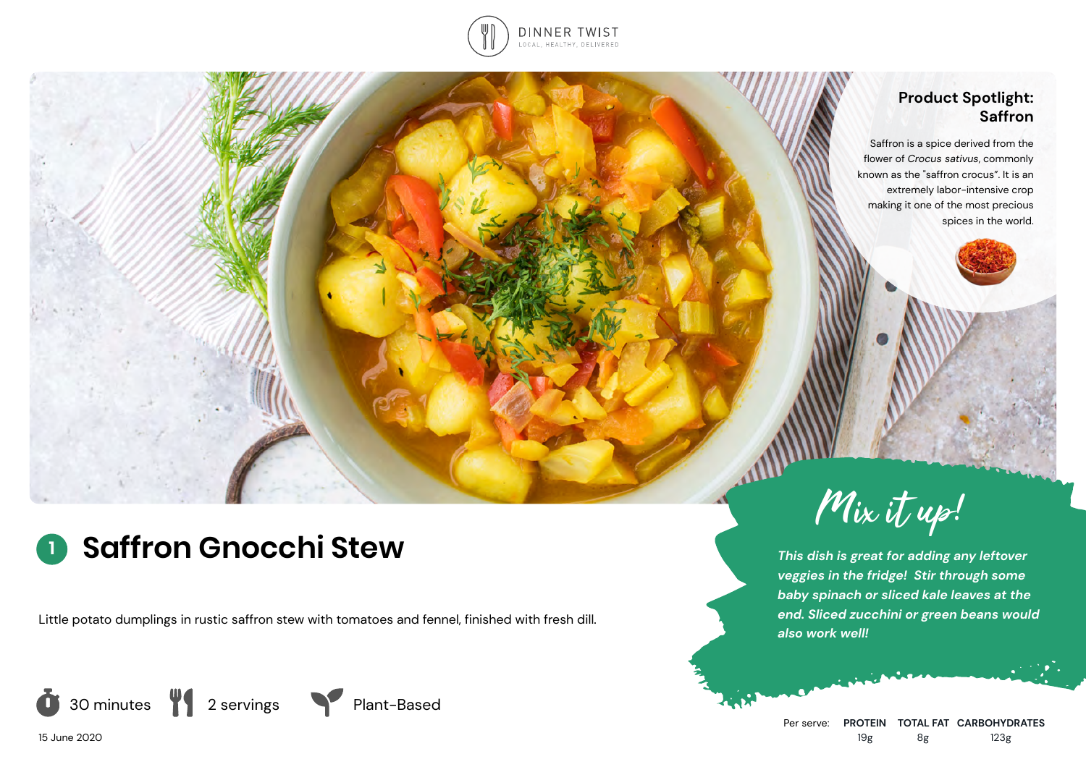

## **Product Spotlight: Saffron**

Saffron is a [spice](https://en.wikipedia.org/wiki/Spice) derived from the flower of *[Crocus sativus](https://en.wikipedia.org/wiki/Crocus_sativus)*, commonly known as the "saffron crocus". It is an extremely labor-intensive crop making it one of the most precious spices in the world.



Little potato dumplings in rustic saffron stew with tomatoes and fennel, finished with fresh dill.







Mix it up!

*This dish is great for adding any leftover veggies in the fridge! Stir through some baby spinach or sliced kale leaves at the end. Sliced zucchini or green beans would also work well!*